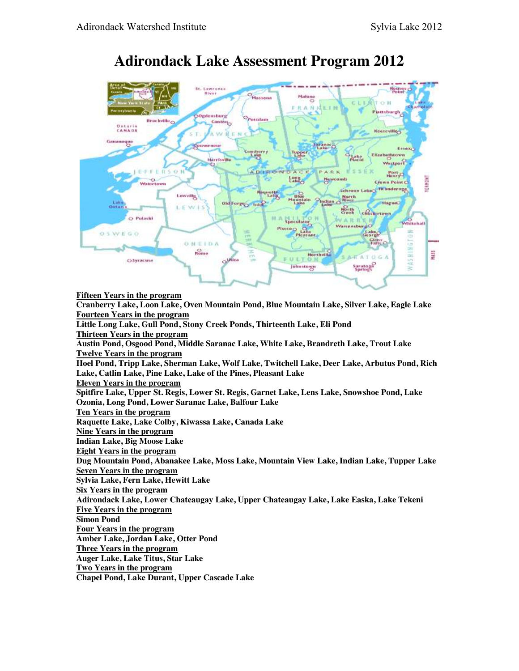

## **Adirondack Lake Assessment Program 2012**

**Fifteen Years in the program Cranberry Lake, Loon Lake, Oven Mountain Pond, Blue Mountain Lake, Silver Lake, Eagle Lake Fourteen Years in the program Little Long Lake, Gull Pond, Stony Creek Ponds, Thirteenth Lake, Eli Pond Thirteen Years in the program Austin Pond, Osgood Pond, Middle Saranac Lake, White Lake, Brandreth Lake, Trout Lake Twelve Years in the program Hoel Pond, Tripp Lake, Sherman Lake, Wolf Lake, Twitchell Lake, Deer Lake, Arbutus Pond, Rich Lake, Catlin Lake, Pine Lake, Lake of the Pines, Pleasant Lake Eleven Years in the program Spitfire Lake, Upper St. Regis, Lower St. Regis, Garnet Lake, Lens Lake, Snowshoe Pond, Lake Ozonia, Long Pond, Lower Saranac Lake, Balfour Lake Ten Years in the program Raquette Lake, Lake Colby, Kiwassa Lake, Canada Lake Nine Years in the program Indian Lake, Big Moose Lake Eight Years in the program Dug Mountain Pond, Abanakee Lake, Moss Lake, Mountain View Lake, Indian Lake, Tupper Lake Seven Years in the program Sylvia Lake, Fern Lake, Hewitt Lake Six Years in the program Adirondack Lake, Lower Chateaugay Lake, Upper Chateaugay Lake, Lake Easka, Lake Tekeni Five Years in the program Simon Pond Four Years in the program Amber Lake, Jordan Lake, Otter Pond Three Years in the program Auger Lake, Lake Titus, Star Lake Two Years in the program Chapel Pond, Lake Durant, Upper Cascade Lake**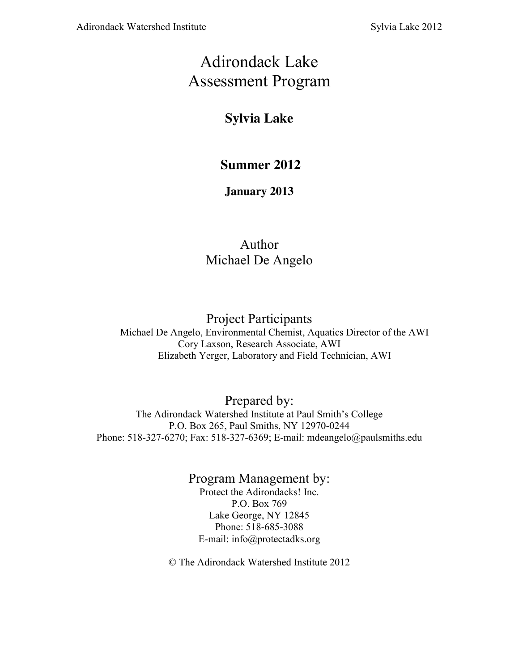# Adirondack Lake Assessment Program

## **Sylvia Lake**

## **Summer 2012**

### **January 2013**

## Author Michael De Angelo

Project Participants Michael De Angelo, Environmental Chemist, Aquatics Director of the AWI Cory Laxson, Research Associate, AWI Elizabeth Yerger, Laboratory and Field Technician, AWI

Prepared by: The Adirondack Watershed Institute at Paul Smith's College P.O. Box 265, Paul Smiths, NY 12970-0244 Phone: 518-327-6270; Fax: 518-327-6369; E-mail: mdeangelo@paulsmiths.edu

## Program Management by:

Protect the Adirondacks! Inc. P.O. Box 769 Lake George, NY 12845 Phone: 518-685-3088 E-mail: info@protectadks.org

© The Adirondack Watershed Institute 2012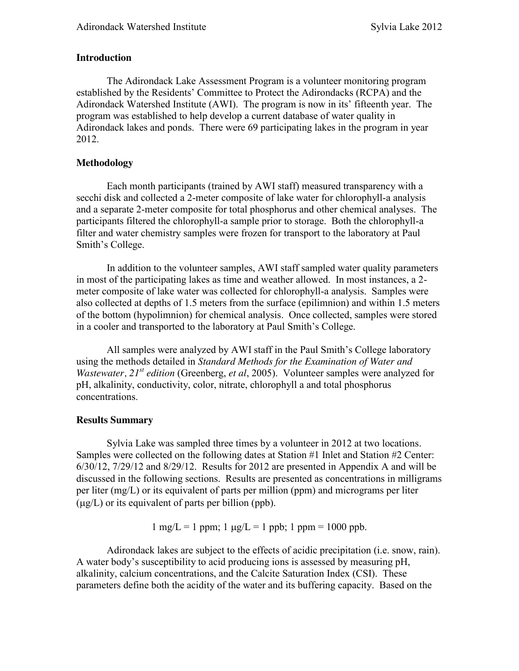#### **Introduction**

The Adirondack Lake Assessment Program is a volunteer monitoring program established by the Residents' Committee to Protect the Adirondacks (RCPA) and the Adirondack Watershed Institute (AWI). The program is now in its' fifteenth year. The program was established to help develop a current database of water quality in Adirondack lakes and ponds. There were 69 participating lakes in the program in year 2012.

#### **Methodology**

Each month participants (trained by AWI staff) measured transparency with a secchi disk and collected a 2-meter composite of lake water for chlorophyll-a analysis and a separate 2-meter composite for total phosphorus and other chemical analyses. The participants filtered the chlorophyll-a sample prior to storage. Both the chlorophyll-a filter and water chemistry samples were frozen for transport to the laboratory at Paul Smith's College.

In addition to the volunteer samples, AWI staff sampled water quality parameters in most of the participating lakes as time and weather allowed. In most instances, a 2 meter composite of lake water was collected for chlorophyll-a analysis. Samples were also collected at depths of 1.5 meters from the surface (epilimnion) and within 1.5 meters of the bottom (hypolimnion) for chemical analysis. Once collected, samples were stored in a cooler and transported to the laboratory at Paul Smith's College.

All samples were analyzed by AWI staff in the Paul Smith's College laboratory using the methods detailed in *Standard Methods for the Examination of Water and Wastewater, 21<sup>st</sup> edition* (Greenberg, *et al, 2005*). Volunteer samples were analyzed for pH, alkalinity, conductivity, color, nitrate, chlorophyll a and total phosphorus concentrations.

#### **Results Summary**

Sylvia Lake was sampled three times by a volunteer in 2012 at two locations. Samples were collected on the following dates at Station #1 Inlet and Station #2 Center: 6/30/12, 7/29/12 and 8/29/12. Results for 2012 are presented in Appendix A and will be discussed in the following sections. Results are presented as concentrations in milligrams per liter (mg/L) or its equivalent of parts per million (ppm) and micrograms per liter  $(\mu g/L)$  or its equivalent of parts per billion (ppb).

 $1 \text{ mg/L} = 1 \text{ ppm}; 1 \text{ µg/L} = 1 \text{ ppb}; 1 \text{ ppm} = 1000 \text{ ppb}.$ 

Adirondack lakes are subject to the effects of acidic precipitation (i.e. snow, rain). A water body's susceptibility to acid producing ions is assessed by measuring pH, alkalinity, calcium concentrations, and the Calcite Saturation Index (CSI). These parameters define both the acidity of the water and its buffering capacity. Based on the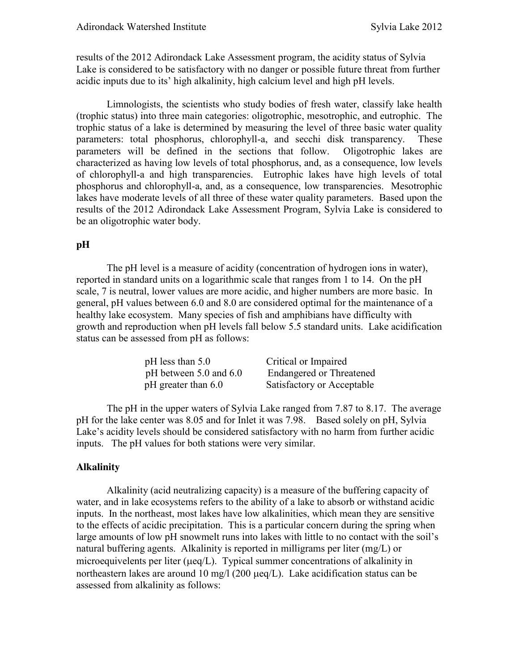results of the 2012 Adirondack Lake Assessment program, the acidity status of Sylvia Lake is considered to be satisfactory with no danger or possible future threat from further acidic inputs due to its' high alkalinity, high calcium level and high pH levels.

Limnologists, the scientists who study bodies of fresh water, classify lake health (trophic status) into three main categories: oligotrophic, mesotrophic, and eutrophic. The trophic status of a lake is determined by measuring the level of three basic water quality parameters: total phosphorus, chlorophyll-a, and secchi disk transparency. These parameters will be defined in the sections that follow. Oligotrophic lakes are characterized as having low levels of total phosphorus, and, as a consequence, low levels of chlorophyll-a and high transparencies. Eutrophic lakes have high levels of total phosphorus and chlorophyll-a, and, as a consequence, low transparencies. Mesotrophic lakes have moderate levels of all three of these water quality parameters. Based upon the results of the 2012 Adirondack Lake Assessment Program, Sylvia Lake is considered to be an oligotrophic water body.

### **pH**

The pH level is a measure of acidity (concentration of hydrogen ions in water), reported in standard units on a logarithmic scale that ranges from 1 to 14. On the pH scale, 7 is neutral, lower values are more acidic, and higher numbers are more basic. In general, pH values between 6.0 and 8.0 are considered optimal for the maintenance of a healthy lake ecosystem. Many species of fish and amphibians have difficulty with growth and reproduction when pH levels fall below 5.5 standard units. Lake acidification status can be assessed from pH as follows:

| $pH$ less than 5.0         | Critical or Impaired       |
|----------------------------|----------------------------|
| pH between $5.0$ and $6.0$ | Endangered or Threatened   |
| pH greater than 6.0        | Satisfactory or Acceptable |

The pH in the upper waters of Sylvia Lake ranged from 7.87 to 8.17. The average pH for the lake center was 8.05 and for Inlet it was 7.98. Based solely on pH, Sylvia Lake's acidity levels should be considered satisfactory with no harm from further acidic inputs. The pH values for both stations were very similar.

#### **Alkalinity**

Alkalinity (acid neutralizing capacity) is a measure of the buffering capacity of water, and in lake ecosystems refers to the ability of a lake to absorb or withstand acidic inputs. In the northeast, most lakes have low alkalinities, which mean they are sensitive to the effects of acidic precipitation. This is a particular concern during the spring when large amounts of low pH snowmelt runs into lakes with little to no contact with the soil's natural buffering agents. Alkalinity is reported in milligrams per liter (mg/L) or microequivelents per liter ( $\mu$ eq/L). Typical summer concentrations of alkalinity in northeastern lakes are around 10 mg/l (200  $\mu$ eq/L). Lake acidification status can be assessed from alkalinity as follows: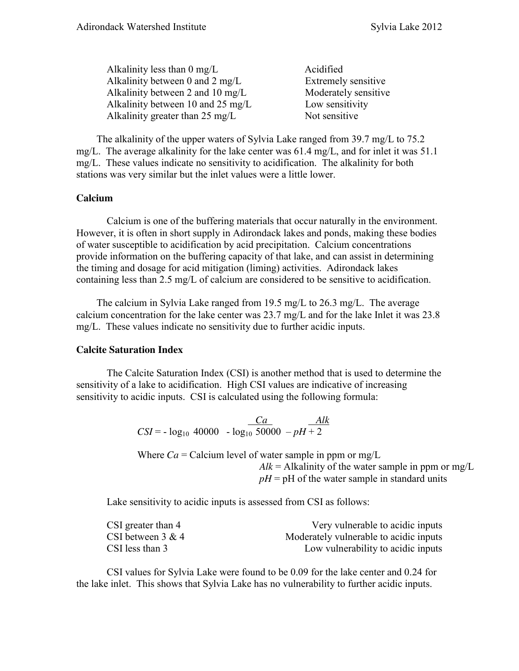| Alkalinity less than $0 \text{ mg/L}$     | Acidified                  |
|-------------------------------------------|----------------------------|
| Alkalinity between 0 and 2 mg/L           | <b>Extremely sensitive</b> |
| Alkalinity between 2 and 10 mg/L          | Moderately sensitive       |
| Alkalinity between 10 and 25 mg/L         | Low sensitivity            |
| Alkalinity greater than $25 \text{ mg/L}$ | Not sensitive              |

 The alkalinity of the upper waters of Sylvia Lake ranged from 39.7 mg/L to 75.2 mg/L. The average alkalinity for the lake center was  $61.4$  mg/L, and for inlet it was  $51.1$ mg/L. These values indicate no sensitivity to acidification. The alkalinity for both stations was very similar but the inlet values were a little lower.

#### **Calcium**

Calcium is one of the buffering materials that occur naturally in the environment. However, it is often in short supply in Adirondack lakes and ponds, making these bodies of water susceptible to acidification by acid precipitation. Calcium concentrations provide information on the buffering capacity of that lake, and can assist in determining the timing and dosage for acid mitigation (liming) activities. Adirondack lakes containing less than 2.5 mg/L of calcium are considered to be sensitive to acidification.

The calcium in Sylvia Lake ranged from 19.5 mg/L to 26.3 mg/L. The average calcium concentration for the lake center was 23.7 mg/L and for the lake Inlet it was 23.8 mg/L. These values indicate no sensitivity due to further acidic inputs.

#### **Calcite Saturation Index**

The Calcite Saturation Index (CSI) is another method that is used to determine the sensitivity of a lake to acidification. High CSI values are indicative of increasing sensitivity to acidic inputs. CSI is calculated using the following formula:

> *Ca Alk*  $CSI = - log<sub>10</sub> 40000 - log<sub>10</sub> 50000 - pH + 2$

Where  $Ca = Ca$  calcium level of water sample in ppm or mg/L  $Alk = Alkalinity$  of the water sample in ppm or mg/L

 $pH = pH$  of the water sample in standard units

Lake sensitivity to acidic inputs is assessed from CSI as follows:

| CSI greater than 4   | Very vulnerable to acidic inputs       |
|----------------------|----------------------------------------|
| CSI between $3 \& 4$ | Moderately vulnerable to acidic inputs |
| CSI less than 3      | Low vulnerability to acidic inputs     |

CSI values for Sylvia Lake were found to be 0.09 for the lake center and 0.24 for the lake inlet. This shows that Sylvia Lake has no vulnerability to further acidic inputs.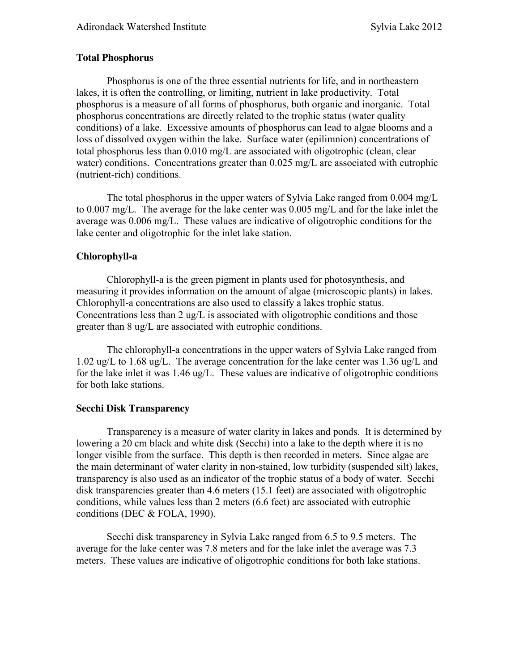#### **Total Phosphorus**

Phosphorus is one of the three essential nutrients for life, and in northeastern lakes, it is often the controlling, or limiting, nutrient in lake productivity. Total phosphorus is a measure of all forms of phosphorus, both organic and inorganic. Total phosphorus concentrations are directly related to the trophic status (water quality conditions) of a lake. Excessive amounts of phosphorus can lead to algae blooms and a loss of dissolved oxygen within the lake. Surface water (epilimnion) concentrations of total phosphorus less than 0.010 mg/L are associated with oligotrophic (clean, clear water) conditions. Concentrations greater than 0.025 mg/L are associated with eutrophic (nutrient-rich) conditions.

The total phosphorus in the upper waters of Sylvia Lake ranged from 0.004 mg/L to 0.007 mg/L. The average for the lake center was 0.005 mg/L and for the lake inlet the average was 0.006 mg/L. These values are indicative of oligotrophic conditions for the lake center and oligotrophic for the inlet lake station.

#### **Chlorophyll-a**

Chlorophyll-a is the green pigment in plants used for photosynthesis, and measuring it provides information on the amount of algae (microscopic plants) in lakes. Chlorophyll-a concentrations are also used to classify a lakes trophic status. Concentrations less than 2 ug/L is associated with oligotrophic conditions and those greater than 8 ug/L are associated with eutrophic conditions.

The chlorophyll-a concentrations in the upper waters of Sylvia Lake ranged from 1.02 ug/L to 1.68 ug/L. The average concentration for the lake center was 1.36 ug/L and for the lake inlet it was 1.46 ug/L. These values are indicative of oligotrophic conditions for both lake stations.

#### **Secchi Disk Transparency**

Transparency is a measure of water clarity in lakes and ponds. It is determined by lowering a 20 cm black and white disk (Secchi) into a lake to the depth where it is no longer visible from the surface. This depth is then recorded in meters. Since algae are the main determinant of water clarity in non-stained, low turbidity (suspended silt) lakes, transparency is also used as an indicator of the trophic status of a body of water. Secchi disk transparencies greater than 4.6 meters (15.1 feet) are associated with oligotrophic conditions, while values less than 2 meters (6.6 feet) are associated with eutrophic conditions (DEC & FOLA, 1990).

Secchi disk transparency in Sylvia Lake ranged from 6.5 to 9.5 meters. The average for the lake center was 7.8 meters and for the lake inlet the average was 7.3 meters. These values are indicative of oligotrophic conditions for both lake stations.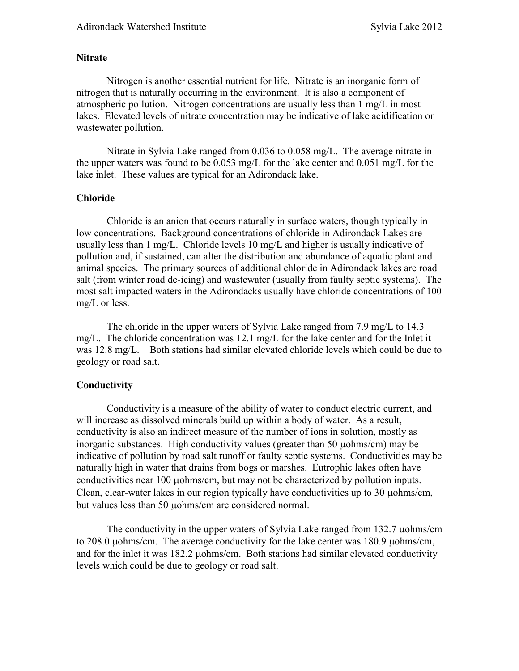#### **Nitrate**

Nitrogen is another essential nutrient for life. Nitrate is an inorganic form of nitrogen that is naturally occurring in the environment. It is also a component of atmospheric pollution. Nitrogen concentrations are usually less than 1 mg/L in most lakes. Elevated levels of nitrate concentration may be indicative of lake acidification or wastewater pollution.

Nitrate in Sylvia Lake ranged from 0.036 to 0.058 mg/L. The average nitrate in the upper waters was found to be 0.053 mg/L for the lake center and 0.051 mg/L for the lake inlet. These values are typical for an Adirondack lake.

#### **Chloride**

Chloride is an anion that occurs naturally in surface waters, though typically in low concentrations. Background concentrations of chloride in Adirondack Lakes are usually less than 1 mg/L. Chloride levels 10 mg/L and higher is usually indicative of pollution and, if sustained, can alter the distribution and abundance of aquatic plant and animal species. The primary sources of additional chloride in Adirondack lakes are road salt (from winter road de-icing) and wastewater (usually from faulty septic systems). The most salt impacted waters in the Adirondacks usually have chloride concentrations of 100 mg/L or less.

The chloride in the upper waters of Sylvia Lake ranged from 7.9 mg/L to 14.3 mg/L. The chloride concentration was 12.1 mg/L for the lake center and for the Inlet it was 12.8 mg/L. Both stations had similar elevated chloride levels which could be due to geology or road salt.

#### **Conductivity**

Conductivity is a measure of the ability of water to conduct electric current, and will increase as dissolved minerals build up within a body of water. As a result, conductivity is also an indirect measure of the number of ions in solution, mostly as inorganic substances. High conductivity values (greater than 50  $\mu$ ohms/cm) may be indicative of pollution by road salt runoff or faulty septic systems. Conductivities may be naturally high in water that drains from bogs or marshes. Eutrophic lakes often have conductivities near 100 µohms/cm, but may not be characterized by pollution inputs. Clean, clear-water lakes in our region typically have conductivities up to 30  $\mu$ ohms/cm, but values less than 50 uohms/cm are considered normal.

The conductivity in the upper waters of Sylvia Lake ranged from 132.7 µohms/cm to 208.0  $\mu$ ohms/cm. The average conductivity for the lake center was 180.9  $\mu$ ohms/cm, and for the inlet it was  $182.2$   $\mu$ ohms/cm. Both stations had similar elevated conductivity levels which could be due to geology or road salt.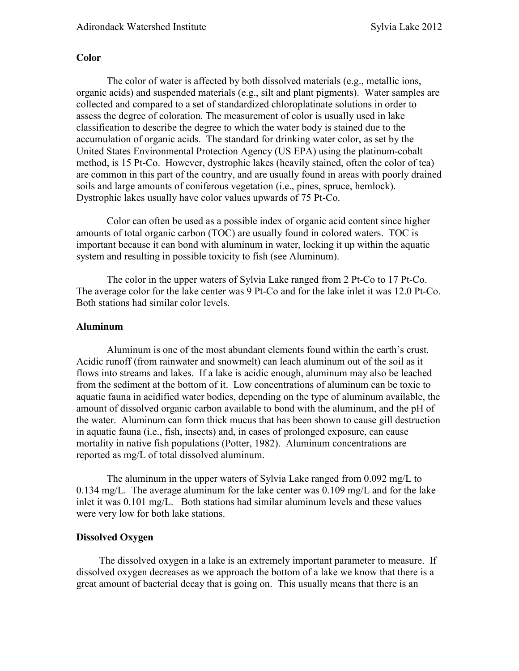#### **Color**

The color of water is affected by both dissolved materials (e.g., metallic ions, organic acids) and suspended materials (e.g., silt and plant pigments). Water samples are collected and compared to a set of standardized chloroplatinate solutions in order to assess the degree of coloration. The measurement of color is usually used in lake classification to describe the degree to which the water body is stained due to the accumulation of organic acids. The standard for drinking water color, as set by the United States Environmental Protection Agency (US EPA) using the platinum-cobalt method, is 15 Pt-Co. However, dystrophic lakes (heavily stained, often the color of tea) are common in this part of the country, and are usually found in areas with poorly drained soils and large amounts of coniferous vegetation (i.e., pines, spruce, hemlock). Dystrophic lakes usually have color values upwards of 75 Pt-Co.

Color can often be used as a possible index of organic acid content since higher amounts of total organic carbon (TOC) are usually found in colored waters. TOC is important because it can bond with aluminum in water, locking it up within the aquatic system and resulting in possible toxicity to fish (see Aluminum).

The color in the upper waters of Sylvia Lake ranged from 2 Pt-Co to 17 Pt-Co. The average color for the lake center was 9 Pt-Co and for the lake inlet it was 12.0 Pt-Co. Both stations had similar color levels.

#### **Aluminum**

Aluminum is one of the most abundant elements found within the earth's crust. Acidic runoff (from rainwater and snowmelt) can leach aluminum out of the soil as it flows into streams and lakes. If a lake is acidic enough, aluminum may also be leached from the sediment at the bottom of it. Low concentrations of aluminum can be toxic to aquatic fauna in acidified water bodies, depending on the type of aluminum available, the amount of dissolved organic carbon available to bond with the aluminum, and the pH of the water. Aluminum can form thick mucus that has been shown to cause gill destruction in aquatic fauna (i.e., fish, insects) and, in cases of prolonged exposure, can cause mortality in native fish populations (Potter, 1982). Aluminum concentrations are reported as mg/L of total dissolved aluminum.

The aluminum in the upper waters of Sylvia Lake ranged from 0.092 mg/L to 0.134 mg/L. The average aluminum for the lake center was 0.109 mg/L and for the lake inlet it was 0.101 mg/L. Both stations had similar aluminum levels and these values were very low for both lake stations.

#### **Dissolved Oxygen**

 The dissolved oxygen in a lake is an extremely important parameter to measure. If dissolved oxygen decreases as we approach the bottom of a lake we know that there is a great amount of bacterial decay that is going on. This usually means that there is an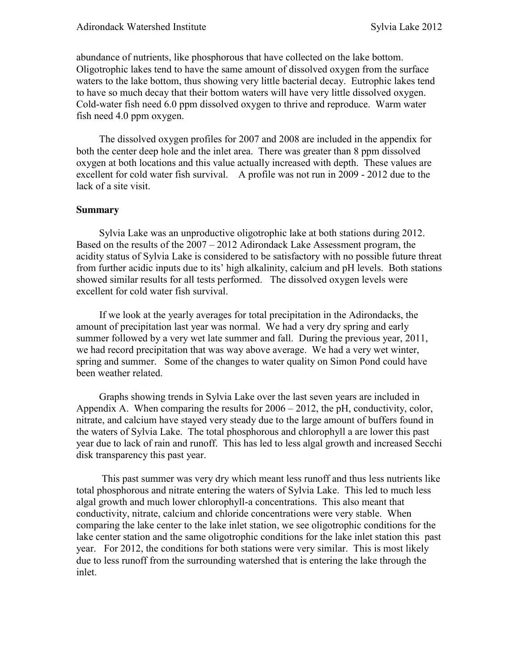abundance of nutrients, like phosphorous that have collected on the lake bottom. Oligotrophic lakes tend to have the same amount of dissolved oxygen from the surface waters to the lake bottom, thus showing very little bacterial decay. Eutrophic lakes tend to have so much decay that their bottom waters will have very little dissolved oxygen. Cold-water fish need 6.0 ppm dissolved oxygen to thrive and reproduce. Warm water fish need 4.0 ppm oxygen.

 The dissolved oxygen profiles for 2007 and 2008 are included in the appendix for both the center deep hole and the inlet area. There was greater than 8 ppm dissolved oxygen at both locations and this value actually increased with depth. These values are excellent for cold water fish survival. A profile was not run in 2009 - 2012 due to the lack of a site visit.

#### **Summary**

 Sylvia Lake was an unproductive oligotrophic lake at both stations during 2012. Based on the results of the 2007 – 2012 Adirondack Lake Assessment program, the acidity status of Sylvia Lake is considered to be satisfactory with no possible future threat from further acidic inputs due to its' high alkalinity, calcium and pH levels. Both stations showed similar results for all tests performed. The dissolved oxygen levels were excellent for cold water fish survival.

 If we look at the yearly averages for total precipitation in the Adirondacks, the amount of precipitation last year was normal. We had a very dry spring and early summer followed by a very wet late summer and fall. During the previous year, 2011, we had record precipitation that was way above average. We had a very wet winter, spring and summer. Some of the changes to water quality on Simon Pond could have been weather related.

 Graphs showing trends in Sylvia Lake over the last seven years are included in Appendix A. When comparing the results for 2006 – 2012, the pH, conductivity, color, nitrate, and calcium have stayed very steady due to the large amount of buffers found in the waters of Sylvia Lake. The total phosphorous and chlorophyll a are lower this past year due to lack of rain and runoff. This has led to less algal growth and increased Secchi disk transparency this past year.

 This past summer was very dry which meant less runoff and thus less nutrients like total phosphorous and nitrate entering the waters of Sylvia Lake. This led to much less algal growth and much lower chlorophyll-a concentrations. This also meant that conductivity, nitrate, calcium and chloride concentrations were very stable. When comparing the lake center to the lake inlet station, we see oligotrophic conditions for the lake center station and the same oligotrophic conditions for the lake inlet station this past year. For 2012, the conditions for both stations were very similar. This is most likely due to less runoff from the surrounding watershed that is entering the lake through the inlet.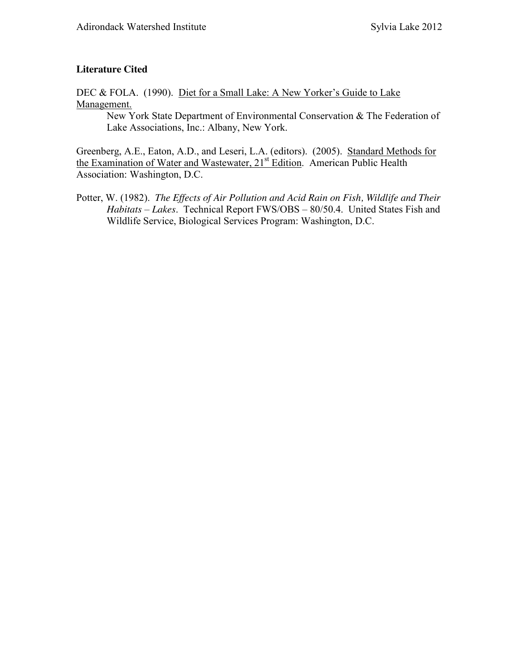#### **Literature Cited**

DEC & FOLA. (1990). Diet for a Small Lake: A New Yorker's Guide to Lake Management.

New York State Department of Environmental Conservation & The Federation of Lake Associations, Inc.: Albany, New York.

Greenberg, A.E., Eaton, A.D., and Leseri, L.A. (editors). (2005). Standard Methods for the Examination of Water and Wastewater, 21<sup>st</sup> Edition. American Public Health Association: Washington, D.C.

Potter, W. (1982). *The Effects of Air Pollution and Acid Rain on Fish, Wildlife and Their Habitats – Lakes*. Technical Report FWS/OBS – 80/50.4. United States Fish and Wildlife Service, Biological Services Program: Washington, D.C.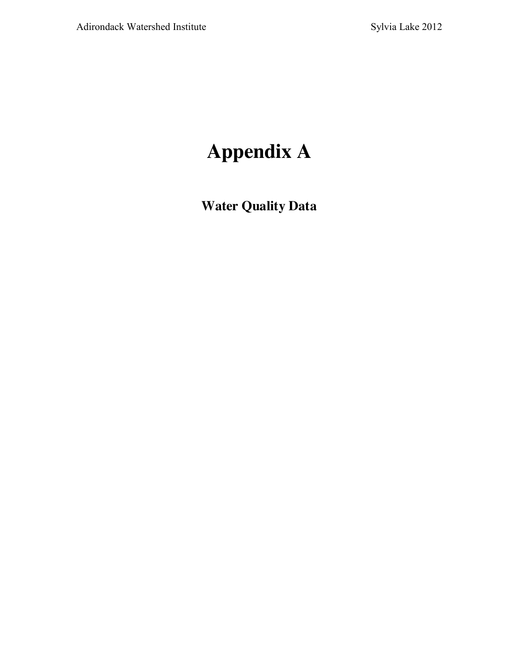# **Appendix A**

**Water Quality Data**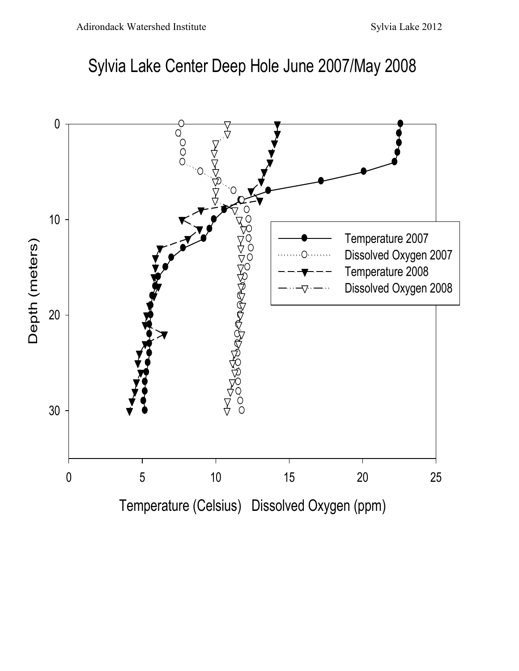# Sylvia Lake Center Deep Hole June 2007/May 2008

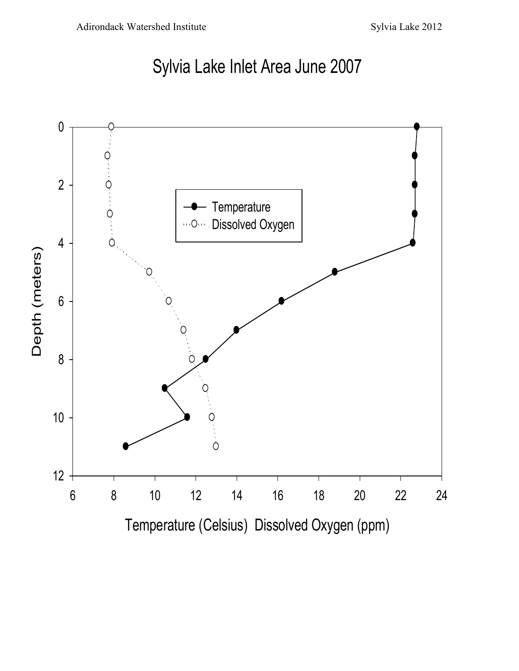# Sylvia Lake Inlet Area June 2007

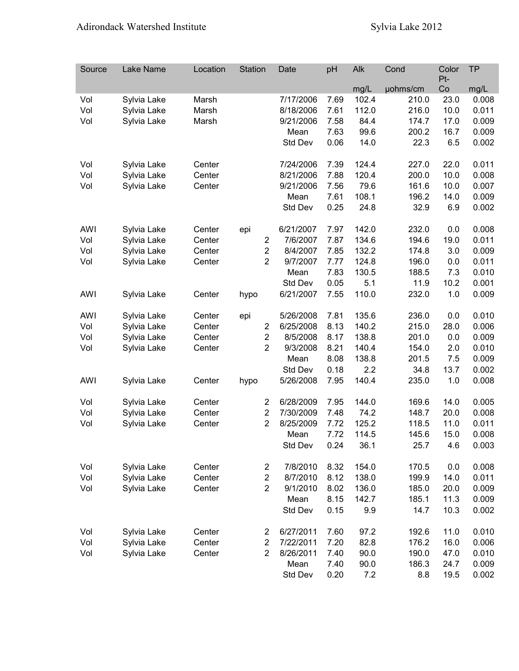| Source     | Lake Name   | Location | <b>Station</b> | Date      | pH   | Alk   | Cond     | Color<br>Pt- | <b>TP</b> |
|------------|-------------|----------|----------------|-----------|------|-------|----------|--------------|-----------|
|            |             |          |                |           |      | mg/L  | µohms/cm | Co           | mg/L      |
| Vol        | Sylvia Lake | Marsh    |                | 7/17/2006 | 7.69 | 102.4 | 210.0    | 23.0         | 0.008     |
| Vol        | Sylvia Lake | Marsh    |                | 8/18/2006 | 7.61 | 112.0 | 216.0    | 10.0         | 0.011     |
| Vol        | Sylvia Lake | Marsh    |                | 9/21/2006 | 7.58 | 84.4  | 174.7    | 17.0         | 0.009     |
|            |             |          |                | Mean      | 7.63 | 99.6  | 200.2    | 16.7         | 0.009     |
|            |             |          |                | Std Dev   | 0.06 | 14.0  | 22.3     | 6.5          | 0.002     |
| Vol        | Sylvia Lake | Center   |                | 7/24/2006 | 7.39 | 124.4 | 227.0    | 22.0         | 0.011     |
| Vol        | Sylvia Lake | Center   |                | 8/21/2006 | 7.88 | 120.4 | 200.0    | 10.0         | 0.008     |
| Vol        | Sylvia Lake | Center   |                | 9/21/2006 | 7.56 | 79.6  | 161.6    | 10.0         | 0.007     |
|            |             |          |                | Mean      | 7.61 | 108.1 | 196.2    | 14.0         | 0.009     |
|            |             |          |                | Std Dev   | 0.25 | 24.8  | 32.9     | 6.9          | 0.002     |
| <b>AWI</b> | Sylvia Lake | Center   | epi            | 6/21/2007 | 7.97 | 142.0 | 232.0    | 0.0          | 0.008     |
| Vol        | Sylvia Lake | Center   | $\overline{c}$ | 7/6/2007  | 7.87 | 134.6 | 194.6    | 19.0         | 0.011     |
| Vol        | Sylvia Lake | Center   | $\overline{2}$ | 8/4/2007  | 7.85 | 132.2 | 174.8    | 3.0          | 0.009     |
| Vol        | Sylvia Lake | Center   | $\overline{2}$ | 9/7/2007  | 7.77 | 124.8 | 196.0    | 0.0          | 0.011     |
|            |             |          |                | Mean      | 7.83 | 130.5 | 188.5    | 7.3          | 0.010     |
|            |             |          |                | Std Dev   | 0.05 | 5.1   | 11.9     | 10.2         | 0.001     |
| <b>AWI</b> | Sylvia Lake | Center   | hypo           | 6/21/2007 | 7.55 | 110.0 | 232.0    | 1.0          | 0.009     |
| <b>AWI</b> | Sylvia Lake | Center   | epi            | 5/26/2008 | 7.81 | 135.6 | 236.0    | 0.0          | 0.010     |
| Vol        | Sylvia Lake | Center   | $\overline{2}$ | 6/25/2008 | 8.13 | 140.2 | 215.0    | 28.0         | 0.006     |
| Vol        | Sylvia Lake | Center   | $\overline{2}$ | 8/5/2008  | 8.17 | 138.8 | 201.0    | 0.0          | 0.009     |
| Vol        | Sylvia Lake | Center   | $\overline{2}$ | 9/3/2008  | 8.21 | 140.4 | 154.0    | 2.0          | 0.010     |
|            |             |          |                | Mean      | 8.08 | 138.8 | 201.5    | 7.5          | 0.009     |
|            |             |          |                | Std Dev   | 0.18 | 2.2   | 34.8     | 13.7         | 0.002     |
| <b>AWI</b> | Sylvia Lake | Center   | hypo           | 5/26/2008 | 7.95 | 140.4 | 235.0    | 1.0          | 0.008     |
| Vol        | Sylvia Lake | Center   | $\overline{2}$ | 6/28/2009 | 7.95 | 144.0 | 169.6    | 14.0         | 0.005     |
| Vol        | Sylvia Lake | Center   | $\overline{2}$ | 7/30/2009 | 7.48 | 74.2  | 148.7    | 20.0         | 0.008     |
| Vol        | Sylvia Lake | Center   | $\overline{2}$ | 8/25/2009 | 7.72 | 125.2 | 118.5    | 11.0         | 0.011     |
|            |             |          |                | Mean      | 7.72 | 114.5 | 145.6    | 15.0         | 0.008     |
|            |             |          |                | Std Dev   | 0.24 | 36.1  | 25.7     | 4.6          | 0.003     |
| Vol        | Sylvia Lake | Center   | 2              | 7/8/2010  | 8.32 | 154.0 | 170.5    | 0.0          | 0.008     |
| Vol        | Sylvia Lake | Center   | $\overline{c}$ | 8/7/2010  | 8.12 | 138.0 | 199.9    | 14.0         | 0.011     |
| Vol        | Sylvia Lake | Center   | $\overline{2}$ | 9/1/2010  | 8.02 | 136.0 | 185.0    | 20.0         | 0.009     |
|            |             |          |                | Mean      | 8.15 | 142.7 | 185.1    | 11.3         | 0.009     |
|            |             |          |                | Std Dev   | 0.15 | 9.9   | 14.7     | 10.3         | 0.002     |
| Vol        | Sylvia Lake | Center   | $\overline{c}$ | 6/27/2011 | 7.60 | 97.2  | 192.6    | 11.0         | 0.010     |
| Vol        | Sylvia Lake | Center   | $\overline{2}$ | 7/22/2011 | 7.20 | 82.8  | 176.2    | 16.0         | 0.006     |
| Vol        | Sylvia Lake | Center   | $\overline{2}$ | 8/26/2011 | 7.40 | 90.0  | 190.0    | 47.0         | 0.010     |
|            |             |          |                | Mean      | 7.40 | 90.0  | 186.3    | 24.7         | 0.009     |
|            |             |          |                | Std Dev   | 0.20 | 7.2   | 8.8      | 19.5         | 0.002     |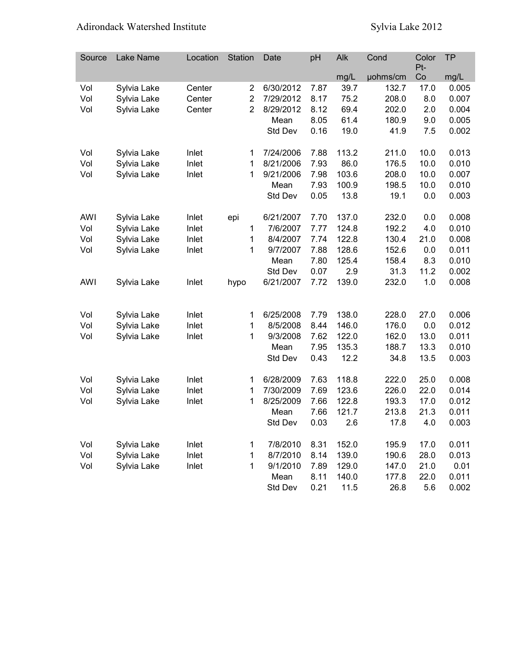| Source     | Lake Name   | Location | <b>Station</b> | Date           | pH   | Alk   | Cond     | Color<br>Pt- | <b>TP</b>      |
|------------|-------------|----------|----------------|----------------|------|-------|----------|--------------|----------------|
|            |             |          |                |                |      | mg/L  | µohms/cm | Co           | mg/L           |
| Vol        | Sylvia Lake | Center   | 2              | 6/30/2012      | 7.87 | 39.7  | 132.7    | 17.0         | 0.005          |
| Vol        | Sylvia Lake | Center   | 2              | 7/29/2012      | 8.17 | 75.2  | 208.0    | 8.0          | 0.007          |
| Vol        | Sylvia Lake | Center   | 2              | 8/29/2012      | 8.12 | 69.4  | 202.0    | 2.0          | 0.004          |
|            |             |          |                | Mean           | 8.05 | 61.4  | 180.9    | 9.0          | 0.005          |
|            |             |          |                | Std Dev        | 0.16 | 19.0  | 41.9     | 7.5          | 0.002          |
| Vol        | Sylvia Lake | Inlet    | 1              | 7/24/2006      | 7.88 | 113.2 | 211.0    | 10.0         | 0.013          |
| Vol        | Sylvia Lake | Inlet    | 1              | 8/21/2006      | 7.93 | 86.0  | 176.5    | 10.0         | 0.010          |
| Vol        | Sylvia Lake | Inlet    | 1              | 9/21/2006      | 7.98 | 103.6 | 208.0    | 10.0         | 0.007          |
|            |             |          |                | Mean           | 7.93 | 100.9 | 198.5    | 10.0         | 0.010          |
|            |             |          |                | Std Dev        | 0.05 | 13.8  | 19.1     | 0.0          | 0.003          |
| <b>AWI</b> | Sylvia Lake | Inlet    | epi            | 6/21/2007      | 7.70 | 137.0 | 232.0    | 0.0          | 0.008          |
| Vol        | Sylvia Lake | Inlet    | 1              | 7/6/2007       | 7.77 | 124.8 | 192.2    | 4.0          | 0.010          |
| Vol        | Sylvia Lake | Inlet    | 1              | 8/4/2007       | 7.74 | 122.8 | 130.4    | 21.0         | 0.008          |
| Vol        | Sylvia Lake | Inlet    | 1              | 9/7/2007       | 7.88 | 128.6 | 152.6    | 0.0          | 0.011          |
|            |             |          |                | Mean           | 7.80 | 125.4 | 158.4    | 8.3          | 0.010          |
|            |             |          |                | Std Dev        | 0.07 | 2.9   | 31.3     | 11.2         | 0.002          |
| <b>AWI</b> | Sylvia Lake | Inlet    | hypo           | 6/21/2007      | 7.72 | 139.0 | 232.0    | 1.0          | 0.008          |
|            |             |          |                |                |      |       |          |              |                |
| Vol        | Sylvia Lake | Inlet    | 1              | 6/25/2008      | 7.79 | 138.0 | 228.0    | 27.0         | 0.006          |
| Vol        | Sylvia Lake | Inlet    | 1              | 8/5/2008       | 8.44 | 146.0 | 176.0    | 0.0          | 0.012<br>0.011 |
| Vol        | Sylvia Lake | Inlet    | 1              | 9/3/2008       | 7.62 | 122.0 | 162.0    | 13.0         |                |
|            |             |          |                | Mean           | 7.95 | 135.3 | 188.7    | 13.3         | 0.010          |
|            |             |          |                | Std Dev        | 0.43 | 12.2  | 34.8     | 13.5         | 0.003          |
| Vol        | Sylvia Lake | Inlet    | 1              | 6/28/2009      | 7.63 | 118.8 | 222.0    | 25.0         | 0.008          |
| Vol        | Sylvia Lake | Inlet    | 1              | 7/30/2009      | 7.69 | 123.6 | 226.0    | 22.0         | 0.014          |
| Vol        | Sylvia Lake | Inlet    | 1              | 8/25/2009      | 7.66 | 122.8 | 193.3    | 17.0         | 0.012          |
|            |             |          |                | Mean           | 7.66 | 121.7 | 213.8    | 21.3         | 0.011          |
|            |             |          |                | <b>Std Dev</b> | 0.03 | 2.6   | 17.8     | 4.0          | 0.003          |
| Vol        | Sylvia Lake | Inlet    | 1              | 7/8/2010       | 8.31 | 152.0 | 195.9    | 17.0         | 0.011          |
| Vol        | Sylvia Lake | Inlet    | 1              | 8/7/2010       | 8.14 | 139.0 | 190.6    | 28.0         | 0.013          |
| Vol        | Sylvia Lake | Inlet    | 1              | 9/1/2010       | 7.89 | 129.0 | 147.0    | 21.0         | 0.01           |
|            |             |          |                | Mean           | 8.11 | 140.0 | 177.8    | 22.0         | 0.011          |
|            |             |          |                | Std Dev        | 0.21 | 11.5  | 26.8     | 5.6          | 0.002          |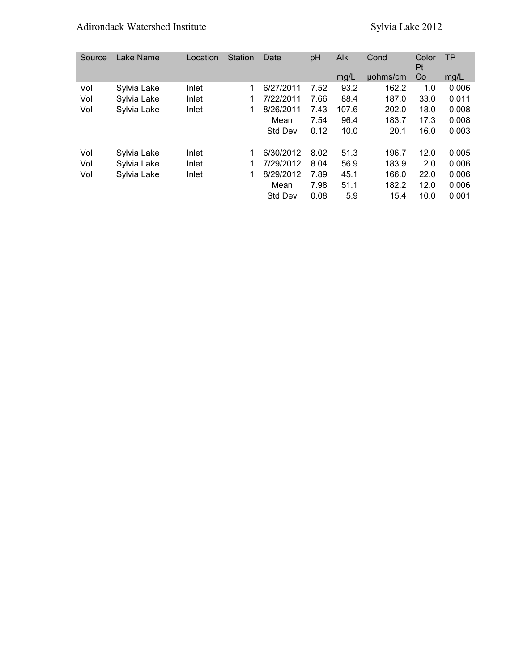| Source | Lake Name   | Location | <b>Station</b> | Date           | pH   | Alk   | Cond     | Color<br>Pt- | <b>TP</b> |
|--------|-------------|----------|----------------|----------------|------|-------|----------|--------------|-----------|
|        |             |          |                |                |      | mg/L  | uohms/cm | Co           | mg/L      |
| Vol    | Sylvia Lake | Inlet    | 1.             | 6/27/2011      | 7.52 | 93.2  | 162.2    | 1.0          | 0.006     |
| Vol    | Sylvia Lake | Inlet    |                | 7/22/2011      | 7.66 | 88.4  | 187.0    | 33.0         | 0.011     |
| Vol    | Sylvia Lake | Inlet    |                | 8/26/2011      | 7.43 | 107.6 | 202.0    | 18.0         | 0.008     |
|        |             |          |                | Mean           | 7.54 | 96.4  | 183.7    | 17.3         | 0.008     |
|        |             |          |                | Std Dev        | 0.12 | 10.0  | 20.1     | 16.0         | 0.003     |
| Vol    | Sylvia Lake | Inlet    | 1.             | 6/30/2012      | 8.02 | 51.3  | 196.7    | 12.0         | 0.005     |
| Vol    | Sylvia Lake | Inlet    |                | 7/29/2012      | 8.04 | 56.9  | 183.9    | 2.0          | 0.006     |
| Vol    | Sylvia Lake | Inlet    |                | 8/29/2012      | 7.89 | 45.1  | 166.0    | 22.0         | 0.006     |
|        |             |          |                | Mean           | 7.98 | 51.1  | 182.2    | 12.0         | 0.006     |
|        |             |          |                | <b>Std Dev</b> | 0.08 | 5.9   | 15.4     | 10.0         | 0.001     |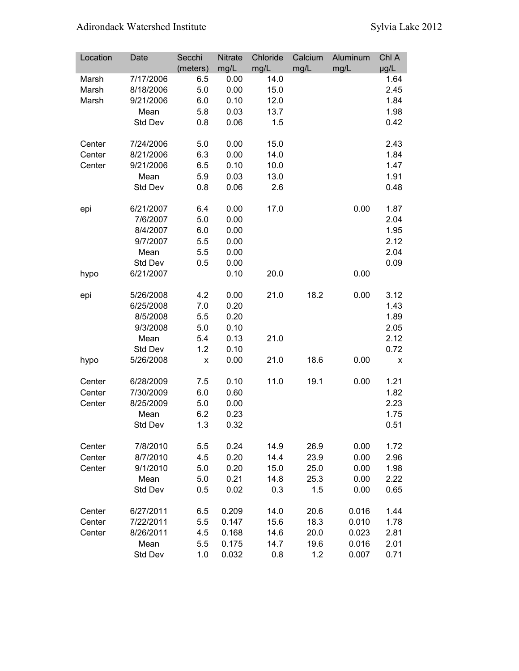| Location | Date           | Secchi<br>(meters) | <b>Nitrate</b><br>mg/L | Chloride<br>mg/L | Calcium<br>mg/L | Aluminum<br>mg/L | Chl A<br>$\mu$ g/L |
|----------|----------------|--------------------|------------------------|------------------|-----------------|------------------|--------------------|
| Marsh    | 7/17/2006      | 6.5                | 0.00                   | 14.0             |                 |                  | 1.64               |
| Marsh    | 8/18/2006      | 5.0                | 0.00                   | 15.0             |                 |                  | 2.45               |
| Marsh    | 9/21/2006      | 6.0                | 0.10                   | 12.0             |                 |                  | 1.84               |
|          | Mean           | 5.8                | 0.03                   | 13.7             |                 |                  | 1.98               |
|          | Std Dev        | 0.8                | 0.06                   | 1.5              |                 |                  | 0.42               |
| Center   | 7/24/2006      | 5.0                | 0.00                   | 15.0             |                 |                  | 2.43               |
| Center   | 8/21/2006      | 6.3                | 0.00                   | 14.0             |                 |                  | 1.84               |
| Center   | 9/21/2006      | 6.5                | 0.10                   | 10.0             |                 |                  | 1.47               |
|          | Mean           | 5.9                | 0.03                   | 13.0             |                 |                  | 1.91               |
|          | Std Dev        | 0.8                | 0.06                   | 2.6              |                 |                  | 0.48               |
| epi      | 6/21/2007      | 6.4                | 0.00                   | 17.0             |                 | 0.00             | 1.87               |
|          | 7/6/2007       | 5.0                | 0.00                   |                  |                 |                  | 2.04               |
|          | 8/4/2007       | 6.0                | 0.00                   |                  |                 |                  | 1.95               |
|          | 9/7/2007       | 5.5                | 0.00                   |                  |                 |                  | 2.12               |
|          | Mean           | 5.5                | 0.00                   |                  |                 |                  | 2.04               |
|          | Std Dev        | 0.5                | 0.00                   |                  |                 |                  | 0.09               |
| hypo     | 6/21/2007      |                    | 0.10                   | 20.0             |                 | 0.00             |                    |
| epi      | 5/26/2008      | 4.2                | 0.00                   | 21.0             | 18.2            | 0.00             | 3.12               |
|          | 6/25/2008      | 7.0                | 0.20                   |                  |                 |                  | 1.43               |
|          | 8/5/2008       | 5.5                | 0.20                   |                  |                 |                  | 1.89               |
|          | 9/3/2008       | 5.0                | 0.10                   |                  |                 |                  | 2.05               |
|          | Mean           | 5.4                | 0.13                   | 21.0             |                 |                  | 2.12               |
|          | Std Dev        | 1.2                | 0.10                   |                  |                 |                  | 0.72               |
| hypo     | 5/26/2008      | $\pmb{\times}$     | 0.00                   | 21.0             | 18.6            | 0.00             | x                  |
| Center   | 6/28/2009      | 7.5                | 0.10                   | 11.0             | 19.1            | 0.00             | 1.21               |
| Center   | 7/30/2009      | 6.0                | 0.60                   |                  |                 |                  | 1.82               |
| Center   | 8/25/2009      | 5.0                | 0.00                   |                  |                 |                  | 2.23               |
|          | Mean           | 6.2                | 0.23                   |                  |                 |                  | 1.75               |
|          | <b>Std Dev</b> | 1.3                | 0.32                   |                  |                 |                  | 0.51               |
| Center   | 7/8/2010       | 5.5                | 0.24                   | 14.9             | 26.9            | 0.00             | 1.72               |
| Center   | 8/7/2010       | 4.5                | 0.20                   | 14.4             | 23.9            | 0.00             | 2.96               |
| Center   | 9/1/2010       | 5.0                | 0.20                   | 15.0             | 25.0            | 0.00             | 1.98               |
|          | Mean           | 5.0                | 0.21                   | 14.8             | 25.3            | 0.00             | 2.22               |
|          | Std Dev        | 0.5                | 0.02                   | 0.3              | 1.5             | 0.00             | 0.65               |
| Center   | 6/27/2011      | 6.5                | 0.209                  | 14.0             | 20.6            | 0.016            | 1.44               |
| Center   | 7/22/2011      | 5.5                | 0.147                  | 15.6             | 18.3            | 0.010            | 1.78               |
| Center   | 8/26/2011      | 4.5                | 0.168                  | 14.6             | 20.0            | 0.023            | 2.81               |
|          | Mean           | 5.5                | 0.175                  | 14.7             | 19.6            | 0.016            | 2.01               |
|          | Std Dev        | 1.0                | 0.032                  | 0.8              | 1.2             | 0.007            | 0.71               |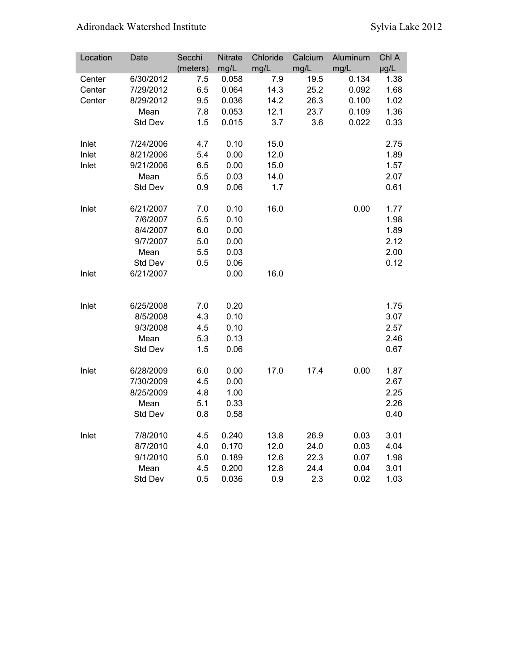| Location                   | Date                                                                          | Secchi<br>(meters)                     | <b>Nitrate</b><br>mg/L                               | Chloride<br>mg/L                    | Calcium<br>mg/L                     | Aluminum<br>mg/L                          | Chl A<br>µg/L                                |
|----------------------------|-------------------------------------------------------------------------------|----------------------------------------|------------------------------------------------------|-------------------------------------|-------------------------------------|-------------------------------------------|----------------------------------------------|
| Center<br>Center<br>Center | 6/30/2012<br>7/29/2012<br>8/29/2012<br>Mean<br>Std Dev                        | 7.5<br>6.5<br>9.5<br>7.8<br>1.5        | 0.058<br>0.064<br>0.036<br>0.053<br>0.015            | 7.9<br>14.3<br>14.2<br>12.1<br>3.7  | 19.5<br>25.2<br>26.3<br>23.7<br>3.6 | 0.134<br>0.092<br>0.100<br>0.109<br>0.022 | 1.38<br>1.68<br>1.02<br>1.36<br>0.33         |
| Inlet<br>Inlet<br>Inlet    | 7/24/2006<br>8/21/2006<br>9/21/2006<br>Mean<br>Std Dev                        | 4.7<br>5.4<br>6.5<br>5.5<br>0.9        | 0.10<br>0.00<br>0.00<br>0.03<br>0.06                 | 15.0<br>12.0<br>15.0<br>14.0<br>1.7 |                                     |                                           | 2.75<br>1.89<br>1.57<br>2.07<br>0.61         |
| Inlet<br>Inlet             | 6/21/2007<br>7/6/2007<br>8/4/2007<br>9/7/2007<br>Mean<br>Std Dev<br>6/21/2007 | 7.0<br>5.5<br>6.0<br>5.0<br>5.5<br>0.5 | 0.10<br>0.10<br>0.00<br>0.00<br>0.03<br>0.06<br>0.00 | 16.0<br>16.0                        |                                     | 0.00                                      | 1.77<br>1.98<br>1.89<br>2.12<br>2.00<br>0.12 |
| Inlet                      | 6/25/2008<br>8/5/2008<br>9/3/2008<br>Mean<br>Std Dev                          | 7.0<br>4.3<br>4.5<br>5.3<br>1.5        | 0.20<br>0.10<br>0.10<br>0.13<br>0.06                 |                                     |                                     |                                           | 1.75<br>3.07<br>2.57<br>2.46<br>0.67         |
| Inlet                      | 6/28/2009<br>7/30/2009<br>8/25/2009<br>Mean<br>Std Dev                        | 6.0<br>4.5<br>4.8<br>5.1<br>0.8        | 0.00<br>0.00<br>1.00<br>0.33<br>0.58                 | 17.0                                | 17.4                                | 0.00                                      | 1.87<br>2.67<br>2.25<br>2.26<br>0.40         |
| Inlet                      | 7/8/2010<br>8/7/2010<br>9/1/2010<br>Mean<br>Std Dev                           | 4.5<br>4.0<br>5.0<br>4.5<br>0.5        | 0.240<br>0.170<br>0.189<br>0.200<br>0.036            | 13.8<br>12.0<br>12.6<br>12.8<br>0.9 | 26.9<br>24.0<br>22.3<br>24.4<br>2.3 | 0.03<br>0.03<br>0.07<br>0.04<br>0.02      | 3.01<br>4.04<br>1.98<br>3.01<br>1.03         |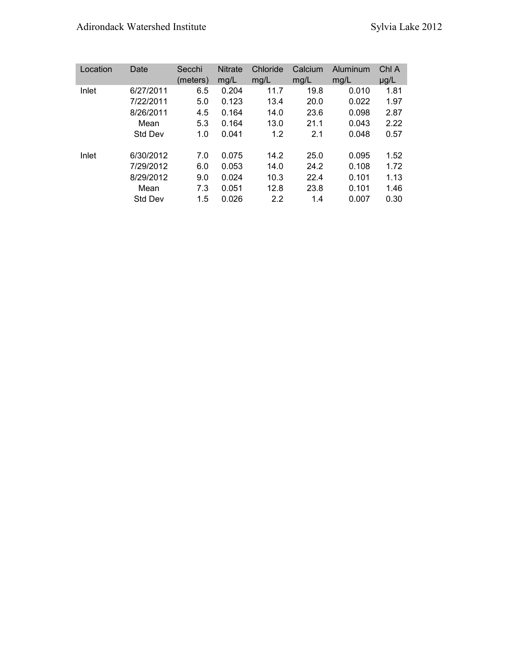| Location | Date           | Secchi   | <b>Nitrate</b> | Chloride | Calcium | Aluminum | Chl A     |
|----------|----------------|----------|----------------|----------|---------|----------|-----------|
|          |                | (meters) | mg/L           | mg/L     | mg/L    | mq/L     | $\mu$ g/L |
| Inlet    | 6/27/2011      | 6.5      | 0.204          | 11.7     | 19.8    | 0.010    | 1.81      |
|          | 7/22/2011      | 5.0      | 0.123          | 13.4     | 20.0    | 0.022    | 1.97      |
|          | 8/26/2011      | 4.5      | 0.164          | 14.0     | 23.6    | 0.098    | 2.87      |
|          | Mean           | 5.3      | 0.164          | 13.0     | 21.1    | 0.043    | 2.22      |
|          | <b>Std Dev</b> | 1.0      | 0.041          | 1.2      | 2.1     | 0.048    | 0.57      |
| Inlet    | 6/30/2012      | 7.0      | 0.075          | 14.2     | 25.0    | 0.095    | 1.52      |
|          | 7/29/2012      | 6.0      | 0.053          | 14.0     | 24.2    | 0.108    | 1.72      |
|          | 8/29/2012      | 9.0      | 0.024          | 10.3     | 22.4    | 0.101    | 1.13      |
|          | Mean           | 7.3      | 0.051          | 12.8     | 23.8    | 0.101    | 1.46      |
|          | <b>Std Dev</b> | 1.5      | 0.026          | 2.2      | 1.4     | 0.007    | 0.30      |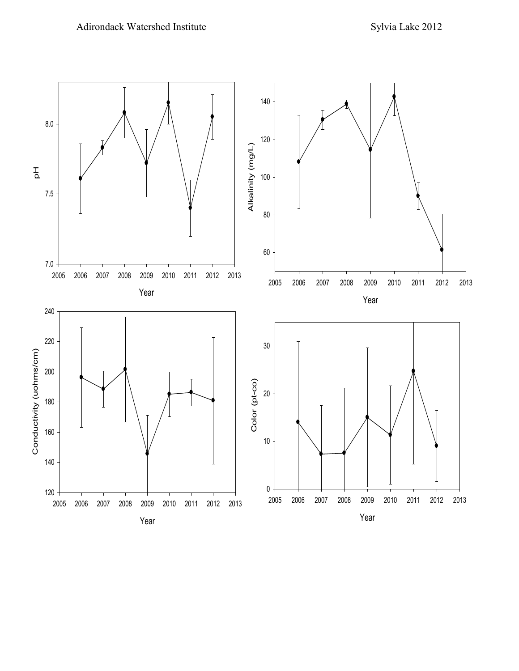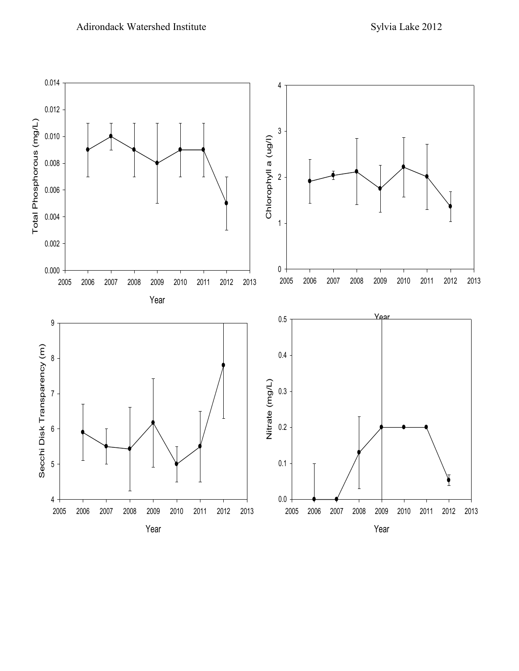